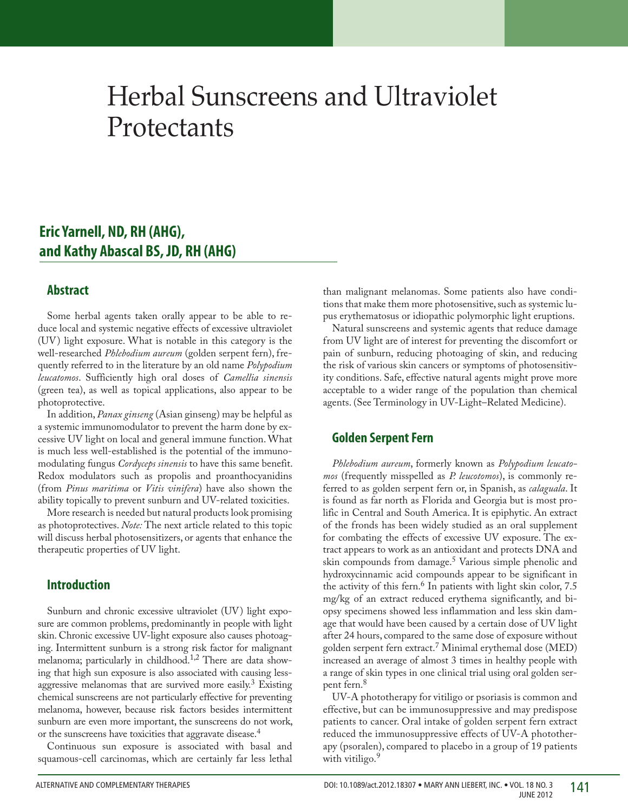# Herbal Sunscreens and Ultraviolet **Protectants**

## Eric Yarnell, ND, RH (AHG), **and Kathy Abascal BS, JD, RH (AHG)**

#### **Abstract**

Some herbal agents taken orally appear to be able to reduce local and systemic negative effects of excessive ultraviolet (UV) light exposure. What is notable in this category is the well-researched *Phlebodium aureum* (golden serpent fern), frequently referred to in the literature by an old name *Polypodium leucatomos*. Sufficiently high oral doses of *Camellia sinensis* (green tea), as well as topical applications, also appear to be photoprotective.

In addition, *Panax ginseng* (Asian ginseng) may be helpful as a systemic immunomodulator to prevent the harm done by excessive UV light on local and general immune function. What is much less well-established is the potential of the immunomodulating fungus *Cordyceps sinensis* to have this same benefit. Redox modulators such as propolis and proanthocyanidins (from *Pinus maritima* or *Vitis vinifera*) have also shown the ability topically to prevent sunburn and UV-related toxicities.

More research is needed but natural products look promising as photoprotectives. *Note:* The next article related to this topic will discuss herbal photosensitizers, or agents that enhance the therapeutic properties of UV light.

#### **Introduction**

Sunburn and chronic excessive ultraviolet (UV) light exposure are common problems, predominantly in people with light skin. Chronic excessive UV-light exposure also causes photoaging. Intermittent sunburn is a strong risk factor for malignant melanoma; particularly in childhood.<sup>1,2</sup> There are data showing that high sun exposure is also associated with causing lessaggressive melanomas that are survived more easily.<sup>3</sup> Existing chemical sunscreens are not particularly effective for preventing melanoma, however, because risk factors besides intermittent sunburn are even more important, the sunscreens do not work, or the sunscreens have toxicities that aggravate disease.<sup>4</sup>

Continuous sun exposure is associated with basal and squamous-cell carcinomas, which are certainly far less lethal than malignant melanomas. Some patients also have conditions that make them more photosensitive, such as systemic lupus erythematosus or idiopathic polymorphic light eruptions.

Natural sunscreens and systemic agents that reduce damage from UV light are of interest for preventing the discomfort or pain of sunburn, reducing photoaging of skin, and reducing the risk of various skin cancers or symptoms of photosensitivity conditions. Safe, effective natural agents might prove more acceptable to a wider range of the population than chemical agents. (See Terminology in UV-Light–Related Medicine).

#### **Golden Serpent Fern**

*Phlebodium aureum*, formerly known as *Polypodium leucatomos* (frequently misspelled as *P. leucotomos*), is commonly referred to as golden serpent fern or, in Spanish, as *calaguala*. It is found as far north as Florida and Georgia but is most prolific in Central and South America. It is epiphytic. An extract of the fronds has been widely studied as an oral supplement for combating the effects of excessive UV exposure. The extract appears to work as an antioxidant and protects DNA and skin compounds from damage.<sup>5</sup> Various simple phenolic and hydroxycinnamic acid compounds appear to be significant in the activity of this fern.<sup>6</sup> In patients with light skin color,  $7.5$ mg/kg of an extract reduced erythema significantly, and biopsy specimens showed less inflammation and less skin damage that would have been caused by a certain dose of UV light after 24 hours, compared to the same dose of exposure without golden serpent fern extract.7 Minimal erythemal dose (MED) increased an average of almost 3 times in healthy people with a range of skin types in one clinical trial using oral golden serpent fern.<sup>8</sup>

UV-A phototherapy for vitiligo or psoriasis is common and effective, but can be immunosuppressive and may predispose patients to cancer. Oral intake of golden serpent fern extract reduced the immunosuppressive effects of UV-A phototherapy (psoralen), compared to placebo in a group of 19 patients with vitiligo.<sup>9</sup>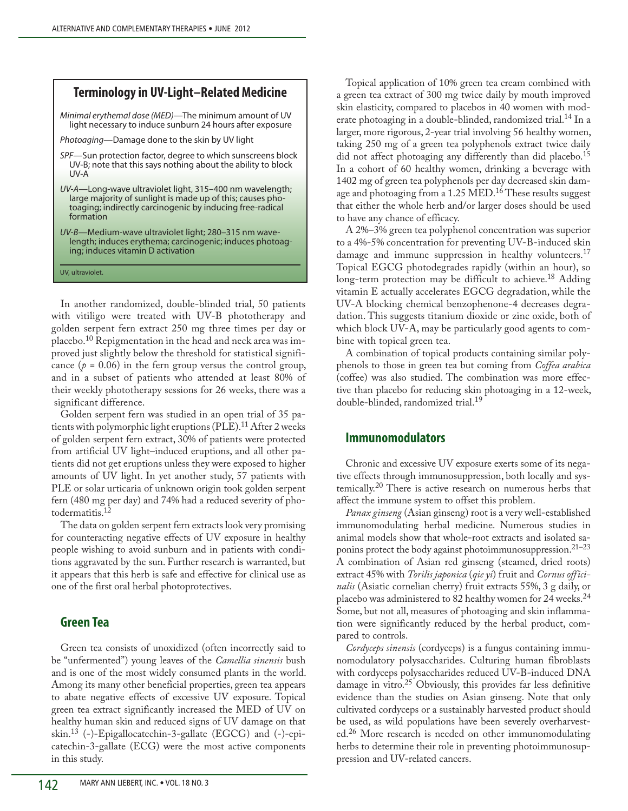### **Terminology in UV-Light–Related Medicine**

*Minimal erythemal dose (MED)*—The minimum amount of UV light necessary to induce sunburn 24 hours after exposure

*Photoaging*—Damage done to the skin by UV light

- *SPF—*Sun protection factor, degree to which sunscreens block UV-B; note that this says nothing about the ability to block UV-A
- *UV-A—*Long-wave ultraviolet light, 315–400 nm wavelength; large majority of sunlight is made up of this; causes photoaging; indirectly carcinogenic by inducing free-radical formation
- *UV-B—*Medium-wave ultraviolet light; 280–315 nm wavelength; induces erythema; carcinogenic; induces photoaging; induces vitamin D activation

UV, ultraviolet.

In another randomized, double-blinded trial, 50 patients with vitiligo were treated with UV-B phototherapy and golden serpent fern extract 250 mg three times per day or placebo.10 Repigmentation in the head and neck area was improved just slightly below the threshold for statistical significance  $(p = 0.06)$  in the fern group versus the control group, and in a subset of patients who attended at least 80% of their weekly phototherapy sessions for 26 weeks, there was a significant difference.

Golden serpent fern was studied in an open trial of 35 patients with polymorphic light eruptions (PLE).<sup>11</sup> After 2 weeks of golden serpent fern extract, 30% of patients were protected from artificial UV light–induced eruptions, and all other patients did not get eruptions unless they were exposed to higher amounts of UV light. In yet another study, 57 patients with PLE or solar urticaria of unknown origin took golden serpent fern (480 mg per day) and 74% had a reduced severity of photodermatitis.12

The data on golden serpent fern extracts look very promising for counteracting negative effects of UV exposure in healthy people wishing to avoid sunburn and in patients with conditions aggravated by the sun. Further research is warranted, but it appears that this herb is safe and effective for clinical use as one of the first oral herbal photoprotectives.

#### **Green Tea**

Green tea consists of unoxidized (often incorrectly said to be "unfermented") young leaves of the *Camellia sinensis* bush and is one of the most widely consumed plants in the world. Among its many other beneficial properties, green tea appears to abate negative effects of excessive UV exposure. Topical green tea extract significantly increased the MED of UV on healthy human skin and reduced signs of UV damage on that skin.<sup>13</sup> (-)-Epigallocatechin-3-gallate (EGCG) and (-)-epicatechin-3-gallate (ECG) were the most active components in this study.

Topical application of 10% green tea cream combined with a green tea extract of 300 mg twice daily by mouth improved skin elasticity, compared to placebos in 40 women with moderate photoaging in a double-blinded, randomized trial.<sup>14</sup> In a larger, more rigorous, 2-year trial involving 56 healthy women, taking 250 mg of a green tea polyphenols extract twice daily did not affect photoaging any differently than did placebo.<sup>15</sup> In a cohort of 60 healthy women, drinking a beverage with 1402 mg of green tea polyphenols per day decreased skin damage and photoaging from a 1.25 MED.<sup>16</sup> These results suggest that either the whole herb and/or larger doses should be used to have any chance of efficacy.

A 2%–3% green tea polyphenol concentration was superior to a 4%-5% concentration for preventing UV-B-induced skin damage and immune suppression in healthy volunteers.<sup>17</sup> Topical EGCG photodegrades rapidly (within an hour), so long-term protection may be difficult to achieve.<sup>18</sup> Adding vitamin E actually accelerates EGCG degradation, while the UV-A blocking chemical benzophenone-4 decreases degradation. This suggests titanium dioxide or zinc oxide, both of which block UV-A, may be particularly good agents to combine with topical green tea.

A combination of topical products containing similar polyphenols to those in green tea but coming from *Coffea arabica* (coffee) was also studied. The combination was more effective than placebo for reducing skin photoaging in a 12-week, double-blinded, randomized trial.<sup>19</sup>

#### **Immunomodulators**

Chronic and excessive UV exposure exerts some of its negative effects through immunosuppression, both locally and systemically.<sup>20</sup> There is active research on numerous herbs that affect the immune system to offset this problem.

*Panax ginseng* (Asian ginseng) root is a very well-established immunomodulating herbal medicine. Numerous studies in animal models show that whole-root extracts and isolated saponins protect the body against photoimmunosuppression.<sup>21–23</sup> A combination of Asian red ginseng (steamed, dried roots) extract 45% with *Torilis japonica* (*qie yi*) fruit and *Cornusofficinalis* (Asiatic cornelian cherry) fruit extracts 55%, 3 g daily, or placebo was administered to 82 healthy women for 24 weeks. $^{24}$ Some, but not all, measures of photoaging and skin inflammation were significantly reduced by the herbal product, compared to controls.

*Cordyceps sinensis* (cordyceps) is a fungus containing immunomodulatory polysaccharides. Culturing human fibroblasts with cordyceps polysaccharides reduced UV-B-induced DNA damage in vitro.<sup>25</sup> Obviously, this provides far less definitive evidence than the studies on Asian ginseng. Note that only cultivated cordyceps or a sustainably harvested product should be used, as wild populations have been severely overharvested.26 More research is needed on other immunomodulating herbs to determine their role in preventing photoimmunosuppression and UV-related cancers.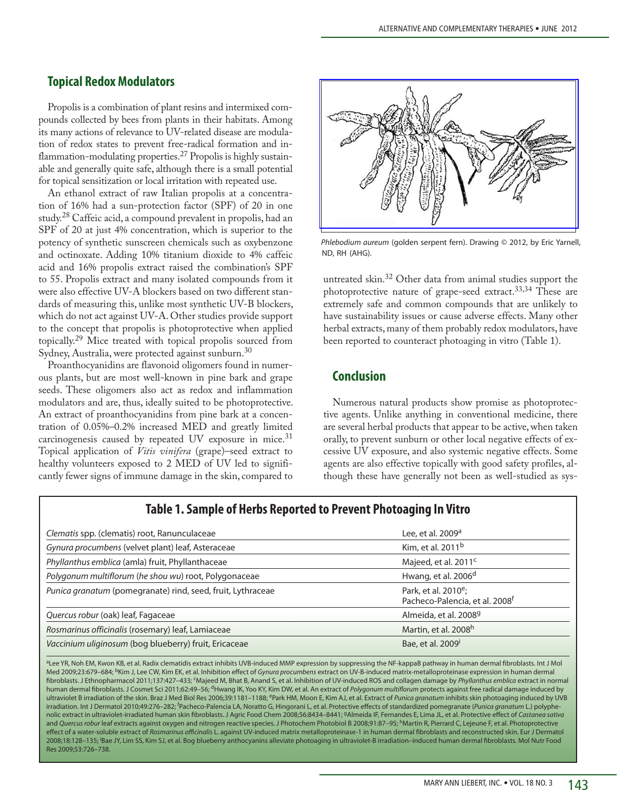#### **Topical Redox Modulators**

Propolis is a combination of plant resins and intermixed compounds collected by bees from plants in their habitats. Among its many actions of relevance to UV-related disease are modulation of redox states to prevent free-radical formation and inflammation-modulating properties.27 Propolis is highly sustainable and generally quite safe, although there is a small potential for topical sensitization or local irritation with repeated use.

An ethanol extract of raw Italian propolis at a concentration of 16% had a sun-protection factor (SPF) of 20 in one study.28 Caffeic acid, a compound prevalent in propolis, had an SPF of 20 at just 4% concentration, which is superior to the potency of synthetic sunscreen chemicals such as oxybenzone and octinoxate. Adding 10% titanium dioxide to 4% caffeic acid and 16% propolis extract raised the combination's SPF to 55. Propolis extract and many isolated compounds from it were also effective UV-A blockers based on two different standards of measuring this, unlike most synthetic UV-B blockers, which do not act against UV-A. Other studies provide support to the concept that propolis is photoprotective when applied topically.29 Mice treated with topical propolis sourced from Sydney, Australia, were protected against sunburn.30

Proanthocyanidins are flavonoid oligomers found in numerous plants, but are most well-known in pine bark and grape seeds. These oligomers also act as redox and inflammation modulators and are, thus, ideally suited to be photoprotective. An extract of proanthocyanidins from pine bark at a concentration of 0.05%–0.2% increased MED and greatly limited carcinogenesis caused by repeated UV exposure in mice.<sup>31</sup> Topical application of *Vitis vinifera* (grape)–seed extract to healthy volunteers exposed to 2 MED of UV led to significantly fewer signs of immune damage in the skin, compared to



*Phlebodium aureum* (golden serpent fern). Drawing © 2012, by Eric Yarnell, ND, RH (AHG).

untreated skin.32 Other data from animal studies support the photoprotective nature of grape-seed extract.<sup>33,34</sup> These are extremely safe and common compounds that are unlikely to have sustainability issues or cause adverse effects. Many other herbal extracts, many of them probably redox modulators, have been reported to counteract photoaging in vitro (Table 1).

#### **Conclusion**

Numerous natural products show promise as photoprotective agents. Unlike anything in conventional medicine, there are several herbal products that appear to be active, when taken orally, to prevent sunburn or other local negative effects of excessive UV exposure, and also systemic negative effects. Some agents are also effective topically with good safety profiles, although these have generally not been as well-studied as sys-

| Clematis spp. (clematis) root, Ranunculaceae                | Lee, et al. 2009 <sup>a</sup>                                                  |
|-------------------------------------------------------------|--------------------------------------------------------------------------------|
| Gynura procumbens (velvet plant) leaf, Asteraceae           | Kim, et al. 2011 <sup>b</sup>                                                  |
| Phyllanthus emblica (amla) fruit, Phyllanthaceae            | Majeed, et al. 2011 <sup>c</sup>                                               |
| Polygonum multiflorum (he shou wu) root, Polygonaceae       | Hwang, et al. 2006 <sup>d</sup>                                                |
| Punica granatum (pomegranate) rind, seed, fruit, Lythraceae | Park, et al. 2010 <sup>e</sup> ;<br>Pacheco-Palencia, et al. 2008 <sup>f</sup> |
| Quercus robur (oak) leaf, Fagaceae                          | Almeida, et al. 2008 <sup>9</sup>                                              |
| Rosmarinus officinalis (rosemary) leaf, Lamiaceae           | Martin, et al. 2008h                                                           |
| Vaccinium uliginosum (bog blueberry) fruit, Ericaceae       | Bae, et al. 2009 <sup>i</sup>                                                  |

#### **Table 1. Sample of Herbs Reported to Prevent Photoaging In Vitro**

aLee YR, Noh EM, Kwon KB, et al. Radix clematidis extract inhibits UVB-induced MMP expression by suppressing the NF-kappaB pathway in human dermal fibroblasts. Int J Mol Med 2009;23:679-684; <sup>b</sup>Kim J, Lee CW, Kim EK, et al. Inhibition effect of Gynura procumbens extract on UV-B-induced matrix-metalloproteinase expression in human dermal fibroblasts. J Ethnopharmacol 2011;137:427–433; <sup>c</sup>Majeed M, Bhat B, Anand S, et al. Inhibition of UV-induced ROS and collagen damage by *Phyllanthus emblica* extract in normal human dermal fibroblasts. J Cosmet Sci 2011;62:49–56; <sup>d</sup>Hwang IK, Yoo KY, Kim DW, et al. An extract of *Polygonum multiflorum* protects against free radical damage induced by ultraviolet B irradiation of the skin. Braz J Med Biol Res 2006;39:1181-1188; <sup>e</sup>Park HM, Moon E, Kim AJ, et al. Extract of *Punica granatum* inhibits skin photoaging induced by UVB irradiation. Int J Dermatol 2010;49:276–282; f Pacheco-Palencia LA, Noratto G, Hingorani L, et al. Protective effects of standardized pomegranate (*Punica granatum* L.) polyphenolic extract in ultraviolet-irradiated human skin fibroblasts. J Agric Food Chem 2008;56:8434–8441; gAlmeida IF, Fernandes E, Lima JL, et al. Protective effect of *Castanea sativa* and *Quercus robur* leaf extracts against oxygen and nitrogen reactive species. J Photochem Photobiol B 2008;91:87-95; <sup>h</sup>Martin R, Pierrard C, Lejeune F, et al. Photoprotective effect of a water-soluble extract of *Rosmarinus officinalis* L. against UV-induced matrix metalloproteinase-1 in human dermal fibroblasts and reconstructed skin. Eur J Dermatol 2008;18:128–135; i Bae JY, Lim SS, Kim SJ, et al. Bog blueberry anthocyanins alleviate photoaging in ultraviolet-B irradiation–induced human dermal fibroblasts. Mol Nutr Food Res 2009;53:726–738.